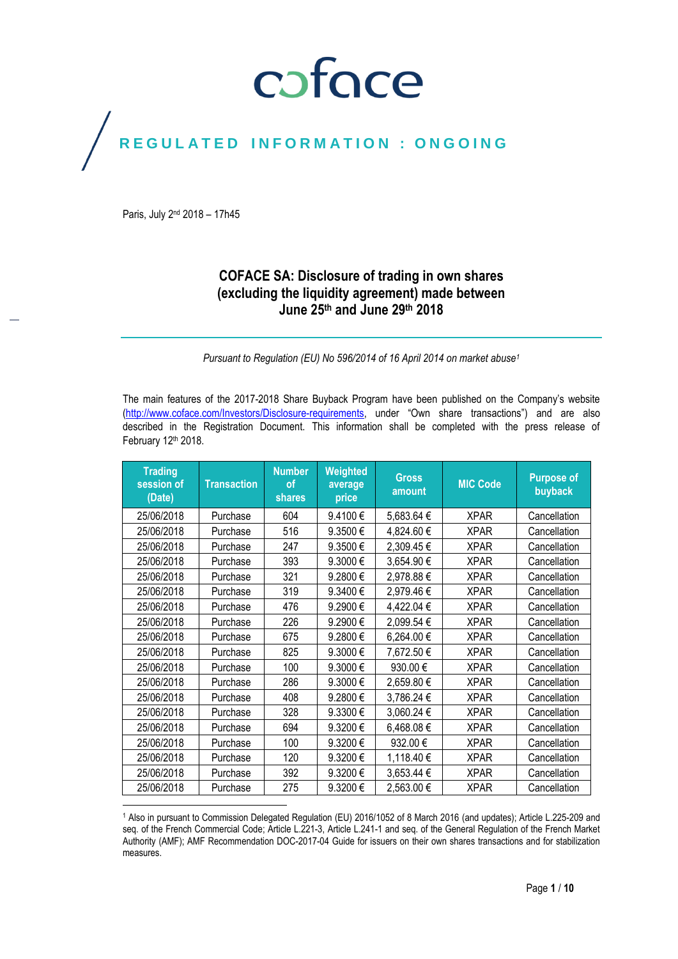## coface

## REGULATED INFORMATION : ONGOING

Paris, July 2<sup>nd</sup> 2018 - 17h45

 $\overline{\phantom{a}}$ 

## **COFACE SA: Disclosure of trading in own shares (excluding the liquidity agreement) made between June 25th and June 29 th 2018**

*Pursuant to Regulation (EU) No 596/2014 of 16 April 2014 on market abuse<sup>1</sup>*

The main features of the 2017-2018 Share Buyback Program have been published on the Company's website [\(http://www.coface.com/Investors/Disclosure-requirements](http://www.coface.com/Investors/Disclosure-requirements), under "Own share transactions") and are also described in the Registration Document. This information shall be completed with the press release of February 12th 2018.

| <b>Trading</b><br>session of<br>(Date) | <b>Transaction</b> | <b>Number</b><br>of<br><b>shares</b> | Weighted<br>average<br>price | <b>Gross</b><br>amount | <b>MIC Code</b> | <b>Purpose of</b><br>buyback |
|----------------------------------------|--------------------|--------------------------------------|------------------------------|------------------------|-----------------|------------------------------|
| 25/06/2018                             | Purchase           | 604                                  | 9.4100€                      | 5,683.64 €             | <b>XPAR</b>     | Cancellation                 |
| 25/06/2018                             | Purchase           | 516                                  | 9.3500€                      | 4,824.60 €             | <b>XPAR</b>     | Cancellation                 |
| 25/06/2018                             | Purchase           | 247                                  | 9.3500€                      | 2,309.45€              | <b>XPAR</b>     | Cancellation                 |
| 25/06/2018                             | Purchase           | 393                                  | 9.3000€                      | 3,654.90€              | <b>XPAR</b>     | Cancellation                 |
| 25/06/2018                             | Purchase           | 321                                  | 9.2800€                      | 2,978.88€              | <b>XPAR</b>     | Cancellation                 |
| 25/06/2018                             | Purchase           | 319                                  | 9.3400€                      | 2,979.46€              | <b>XPAR</b>     | Cancellation                 |
| 25/06/2018                             | Purchase           | 476                                  | 9.2900€                      | 4,422.04 €             | <b>XPAR</b>     | Cancellation                 |
| 25/06/2018                             | Purchase           | 226                                  | 9.2900€                      | 2,099.54 €             | <b>XPAR</b>     | Cancellation                 |
| 25/06/2018                             | Purchase           | 675                                  | 9.2800€                      | 6,264.00€              | <b>XPAR</b>     | Cancellation                 |
| 25/06/2018                             | Purchase           | 825                                  | 9.3000€                      | 7,672.50€              | <b>XPAR</b>     | Cancellation                 |
| 25/06/2018                             | Purchase           | 100                                  | 9.3000€                      | 930.00€                | <b>XPAR</b>     | Cancellation                 |
| 25/06/2018                             | Purchase           | 286                                  | 9.3000€                      | 2,659.80€              | <b>XPAR</b>     | Cancellation                 |
| 25/06/2018                             | Purchase           | 408                                  | 9.2800€                      | 3,786.24 €             | <b>XPAR</b>     | Cancellation                 |
| 25/06/2018                             | Purchase           | 328                                  | 9.3300€                      | 3,060.24 €             | <b>XPAR</b>     | Cancellation                 |
| 25/06/2018                             | Purchase           | 694                                  | 9.3200€                      | 6,468.08€              | <b>XPAR</b>     | Cancellation                 |
| 25/06/2018                             | Purchase           | 100                                  | 9.3200€                      | 932.00 €               | <b>XPAR</b>     | Cancellation                 |
| 25/06/2018                             | Purchase           | 120                                  | 9.3200€                      | 1,118.40€              | <b>XPAR</b>     | Cancellation                 |
| 25/06/2018                             | Purchase           | 392                                  | 9.3200€                      | 3,653.44 €             | <b>XPAR</b>     | Cancellation                 |
| 25/06/2018                             | Purchase           | 275                                  | 9.3200€                      | 2,563.00 €             | XPAR            | Cancellation                 |

<sup>1</sup> Also in pursuant to Commission Delegated Regulation (EU) 2016/1052 of 8 March 2016 (and updates); Article L.225-209 and seq. of the French Commercial Code; Article L.221-3, Article L.241-1 and seq. of the General Regulation of the French Market Authority (AMF); AMF Recommendation DOC-2017-04 Guide for issuers on their own shares transactions and for stabilization measures.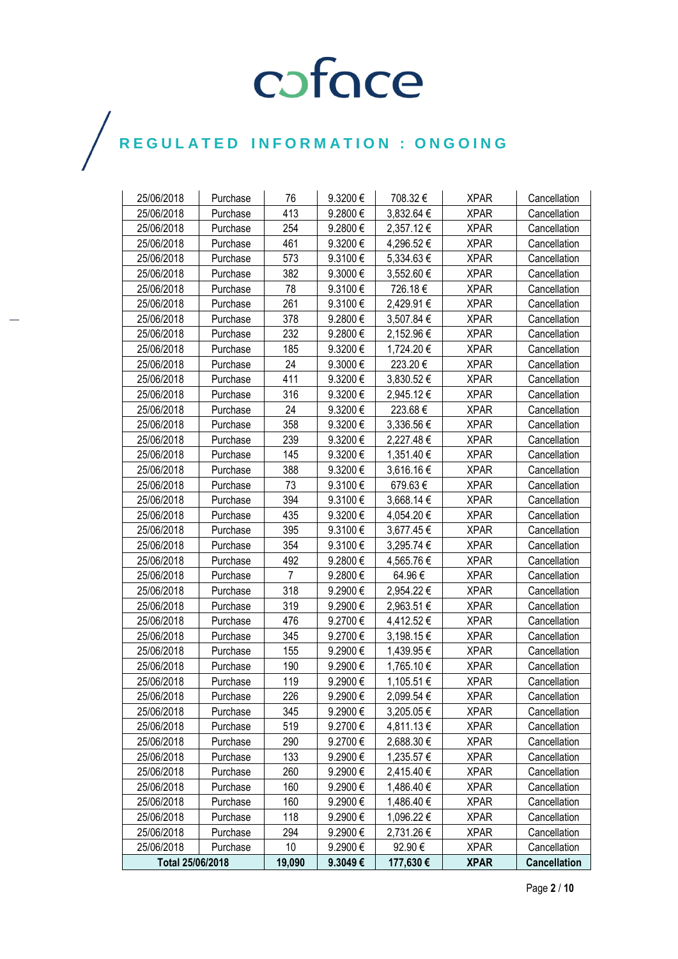| 25/06/2018       | Purchase | 76              | 9.3200€ | 708.32€    | <b>XPAR</b> | Cancellation        |
|------------------|----------|-----------------|---------|------------|-------------|---------------------|
| 25/06/2018       | Purchase | 413             | 9.2800€ | 3,832.64 € | <b>XPAR</b> | Cancellation        |
| 25/06/2018       | Purchase | 254             | 9.2800€ | 2,357.12€  | <b>XPAR</b> | Cancellation        |
| 25/06/2018       | Purchase | 461             | 9.3200€ | 4,296.52€  | <b>XPAR</b> | Cancellation        |
| 25/06/2018       | Purchase | 573             | 9.3100€ | 5,334.63 € | <b>XPAR</b> | Cancellation        |
| 25/06/2018       | Purchase | 382             | 9.3000€ | 3,552.60 € | <b>XPAR</b> | Cancellation        |
| 25/06/2018       | Purchase | 78              | 9.3100€ | 726.18€    | <b>XPAR</b> | Cancellation        |
| 25/06/2018       | Purchase | 261             | 9.3100€ | 2,429.91 € | <b>XPAR</b> | Cancellation        |
| 25/06/2018       | Purchase | 378             | 9.2800€ | 3,507.84 € | <b>XPAR</b> | Cancellation        |
| 25/06/2018       | Purchase | 232             | 9.2800€ | 2,152.96€  | <b>XPAR</b> | Cancellation        |
| 25/06/2018       | Purchase | 185             | 9.3200€ | 1,724.20€  | <b>XPAR</b> | Cancellation        |
| 25/06/2018       | Purchase | 24              | 9.3000€ | 223.20€    | <b>XPAR</b> | Cancellation        |
| 25/06/2018       | Purchase | 411             | 9.3200€ | 3,830.52€  | <b>XPAR</b> | Cancellation        |
| 25/06/2018       | Purchase | 316             | 9.3200€ | 2,945.12€  | <b>XPAR</b> | Cancellation        |
| 25/06/2018       | Purchase | 24              | 9.3200€ | 223.68€    | <b>XPAR</b> | Cancellation        |
| 25/06/2018       | Purchase | 358             | 9.3200€ | 3,336.56 € | <b>XPAR</b> | Cancellation        |
| 25/06/2018       | Purchase | 239             | 9.3200€ | 2,227.48€  | <b>XPAR</b> | Cancellation        |
| 25/06/2018       | Purchase | 145             | 9.3200€ | 1,351.40 € | <b>XPAR</b> | Cancellation        |
| 25/06/2018       | Purchase | 388             | 9.3200€ | 3,616.16€  | <b>XPAR</b> | Cancellation        |
| 25/06/2018       | Purchase | 73              | 9.3100€ | 679.63€    | <b>XPAR</b> | Cancellation        |
| 25/06/2018       | Purchase | 394             | 9.3100€ | 3,668.14 € | <b>XPAR</b> | Cancellation        |
| 25/06/2018       | Purchase | 435             | 9.3200€ | 4,054.20 € | <b>XPAR</b> | Cancellation        |
| 25/06/2018       | Purchase | 395             | 9.3100€ | 3,677.45€  | <b>XPAR</b> | Cancellation        |
| 25/06/2018       | Purchase | 354             | 9.3100€ | 3,295.74 € | <b>XPAR</b> | Cancellation        |
| 25/06/2018       | Purchase | 492             | 9.2800€ | 4,565.76€  | <b>XPAR</b> | Cancellation        |
| 25/06/2018       | Purchase | $\overline{7}$  | 9.2800€ | 64.96€     | <b>XPAR</b> | Cancellation        |
| 25/06/2018       | Purchase | 318             | 9.2900€ | 2,954.22 € | <b>XPAR</b> | Cancellation        |
| 25/06/2018       | Purchase | 319             | 9.2900€ | 2,963.51 € | <b>XPAR</b> | Cancellation        |
| 25/06/2018       | Purchase | 476             | 9.2700€ | 4,412.52 € | <b>XPAR</b> | Cancellation        |
| 25/06/2018       | Purchase | 345             | 9.2700€ | 3,198.15€  | <b>XPAR</b> | Cancellation        |
| 25/06/2018       | Purchase | 155             | 9.2900€ | 1,439.95€  | <b>XPAR</b> | Cancellation        |
| 25/06/2018       | Purchase | 190             | 9.2900€ | 1,765.10 € | <b>XPAR</b> | Cancellation        |
| 25/06/2018       | Purchase | 119             | 9.2900€ | 1,105.51 € | <b>XPAR</b> | Cancellation        |
| 25/06/2018       | Purchase | 226             | 9.2900€ | 2,099.54€  | <b>XPAR</b> | Cancellation        |
| 25/06/2018       | Purchase | 345             | 9.2900€ | 3,205.05 € | <b>XPAR</b> | Cancellation        |
| 25/06/2018       | Purchase | 519             | 9.2700€ | 4,811.13 € | <b>XPAR</b> | Cancellation        |
| 25/06/2018       | Purchase | 290             | 9.2700€ | 2,688.30 € | <b>XPAR</b> | Cancellation        |
| 25/06/2018       | Purchase | 133             | 9.2900€ | 1,235.57€  | <b>XPAR</b> | Cancellation        |
| 25/06/2018       | Purchase | 260             | 9.2900€ | 2,415.40 € | <b>XPAR</b> | Cancellation        |
| 25/06/2018       | Purchase | 160             | 9.2900€ | 1,486.40 € | <b>XPAR</b> | Cancellation        |
| 25/06/2018       | Purchase | 160             | 9.2900€ | 1,486.40 € | <b>XPAR</b> | Cancellation        |
| 25/06/2018       | Purchase | 118             | 9.2900€ | 1,096.22 € | <b>XPAR</b> | Cancellation        |
| 25/06/2018       | Purchase | 294             | 9.2900€ | 2,731.26 € | <b>XPAR</b> | Cancellation        |
| 25/06/2018       | Purchase | 10 <sup>°</sup> | 9.2900€ | 92.90€     | <b>XPAR</b> | Cancellation        |
| Total 25/06/2018 |          | 19,090          | 9.3049€ | 177,630 €  | <b>XPAR</b> | <b>Cancellation</b> |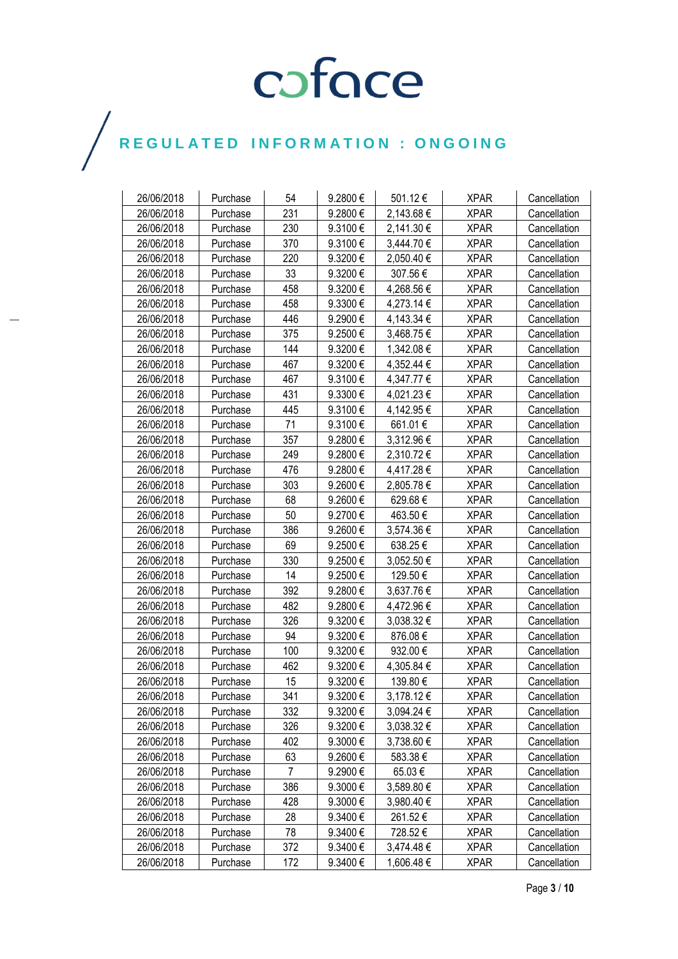| 26/06/2018 | Purchase | 54             | 9.2800€  | 501.12€    | <b>XPAR</b> | Cancellation |
|------------|----------|----------------|----------|------------|-------------|--------------|
| 26/06/2018 | Purchase | 231            | 9.2800€  | 2,143.68€  | <b>XPAR</b> | Cancellation |
| 26/06/2018 | Purchase | 230            | 9.3100€  | 2,141.30 € | <b>XPAR</b> | Cancellation |
| 26/06/2018 | Purchase | 370            | 9.3100€  | 3,444.70 € | <b>XPAR</b> | Cancellation |
| 26/06/2018 | Purchase | 220            | 9.3200€  | 2,050.40 € | <b>XPAR</b> | Cancellation |
| 26/06/2018 | Purchase | 33             | 9.3200€  | 307.56€    | <b>XPAR</b> | Cancellation |
| 26/06/2018 | Purchase | 458            | 9.3200€  | 4,268.56€  | <b>XPAR</b> | Cancellation |
| 26/06/2018 | Purchase | 458            | 9.3300€  | 4,273.14 € | <b>XPAR</b> | Cancellation |
| 26/06/2018 | Purchase | 446            | 9.2900€  | 4,143.34 € | <b>XPAR</b> | Cancellation |
| 26/06/2018 | Purchase | 375            | 9.2500€  | 3,468.75€  | <b>XPAR</b> | Cancellation |
| 26/06/2018 | Purchase | 144            | 9.3200€  | 1,342.08€  | <b>XPAR</b> | Cancellation |
| 26/06/2018 | Purchase | 467            | 9.3200€  | 4,352.44 € | <b>XPAR</b> | Cancellation |
| 26/06/2018 | Purchase | 467            | 9.3100€  | 4,347.77 € | <b>XPAR</b> | Cancellation |
| 26/06/2018 | Purchase | 431            | 9.3300€  | 4,021.23 € | <b>XPAR</b> | Cancellation |
| 26/06/2018 | Purchase | 445            | 9.3100€  | 4,142.95€  | <b>XPAR</b> | Cancellation |
| 26/06/2018 | Purchase | 71             | 9.3100€  | 661.01€    | <b>XPAR</b> | Cancellation |
| 26/06/2018 | Purchase | 357            | 9.2800€  | 3,312.96 € | <b>XPAR</b> | Cancellation |
| 26/06/2018 | Purchase | 249            | 9.2800€  | 2,310.72€  | <b>XPAR</b> | Cancellation |
| 26/06/2018 | Purchase | 476            | 9.2800€  | 4,417.28 € | <b>XPAR</b> | Cancellation |
| 26/06/2018 | Purchase | 303            | 9.2600€  | 2,805.78€  | <b>XPAR</b> | Cancellation |
| 26/06/2018 | Purchase | 68             | 9.2600€  | 629.68€    | <b>XPAR</b> | Cancellation |
| 26/06/2018 | Purchase | 50             | 9.2700€  | 463.50€    | <b>XPAR</b> | Cancellation |
| 26/06/2018 | Purchase | 386            | 9.2600€  | 3,574.36 € | <b>XPAR</b> | Cancellation |
| 26/06/2018 | Purchase | 69             | 9.2500€  | 638.25€    | <b>XPAR</b> | Cancellation |
| 26/06/2018 | Purchase | 330            | 9.2500€  | 3,052.50 € | <b>XPAR</b> | Cancellation |
| 26/06/2018 | Purchase | 14             | 9.2500€  | 129.50€    | <b>XPAR</b> | Cancellation |
| 26/06/2018 | Purchase | 392            | 9.2800€  | 3,637.76€  | <b>XPAR</b> | Cancellation |
| 26/06/2018 | Purchase | 482            | 9.2800€  | 4,472.96 € | <b>XPAR</b> | Cancellation |
| 26/06/2018 | Purchase | 326            | 9.3200€  | 3,038.32€  | <b>XPAR</b> | Cancellation |
| 26/06/2018 | Purchase | 94             | 9.3200€  | 876.08€    | <b>XPAR</b> | Cancellation |
| 26/06/2018 | Purchase | 100            | 9.3200€  | 932.00€    | <b>XPAR</b> | Cancellation |
| 26/06/2018 | Purchase | 462            | 9.3200€  | 4,305.84 € | <b>XPAR</b> | Cancellation |
| 26/06/2018 | Purchase | 15             | 9.3200€  | 139.80€    | <b>XPAR</b> | Cancellation |
| 26/06/2018 | Purchase | 341            | 9.3200€  | 3,178.12€  | <b>XPAR</b> | Cancellation |
| 26/06/2018 | Purchase | 332            | 9.3200€  | 3,094.24 € | <b>XPAR</b> | Cancellation |
| 26/06/2018 | Purchase | 326            | 9.3200€  | 3,038.32 € | <b>XPAR</b> | Cancellation |
| 26/06/2018 | Purchase | 402            | 9.3000€  | 3,738.60 € | <b>XPAR</b> | Cancellation |
| 26/06/2018 | Purchase | 63             | 9.2600€  | 583.38€    | <b>XPAR</b> | Cancellation |
| 26/06/2018 | Purchase | $\overline{7}$ | 9.2900€  | 65.03€     | <b>XPAR</b> | Cancellation |
| 26/06/2018 | Purchase | 386            | 9.3000€  | 3,589.80 € | <b>XPAR</b> | Cancellation |
| 26/06/2018 | Purchase | 428            | 9.3000€  | 3,980.40 € | <b>XPAR</b> | Cancellation |
| 26/06/2018 | Purchase | 28             | 9.3400€  | 261.52€    | <b>XPAR</b> | Cancellation |
| 26/06/2018 | Purchase | 78             | 9.3400€  | 728.52€    | <b>XPAR</b> | Cancellation |
| 26/06/2018 | Purchase | 372            | 9.3400 € | 3,474.48 € | <b>XPAR</b> | Cancellation |
| 26/06/2018 | Purchase | 172            | 9.3400€  | 1,606.48 € | <b>XPAR</b> | Cancellation |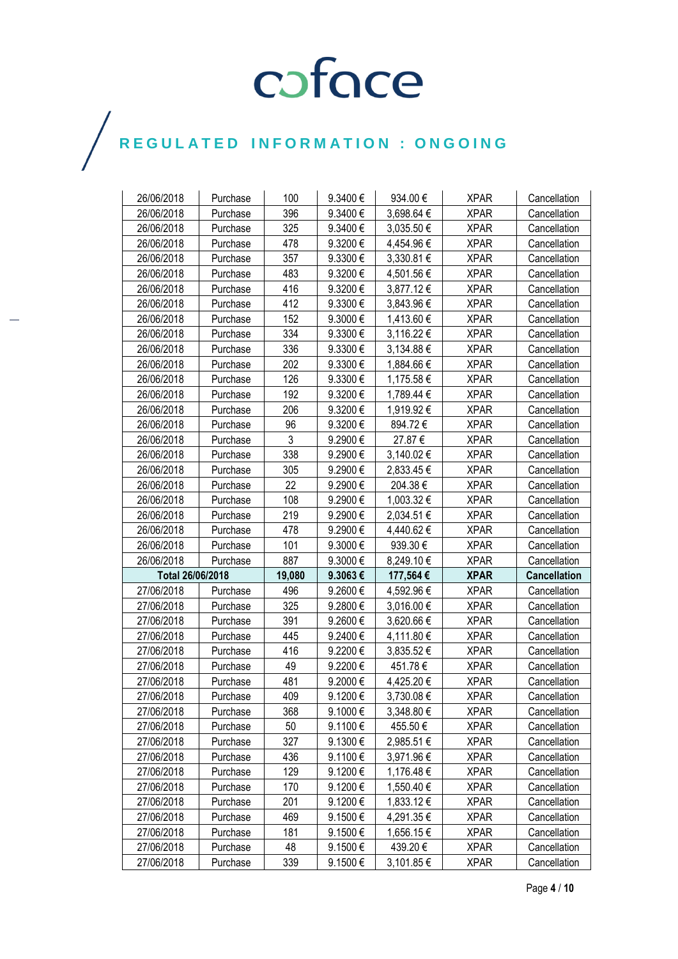| 26/06/2018               | Purchase             | 100       | 9.3400€                 | 934.00€               | <b>XPAR</b> | Cancellation        |
|--------------------------|----------------------|-----------|-------------------------|-----------------------|-------------|---------------------|
| 26/06/2018               | Purchase             | 396       | 9.3400€                 | 3,698.64 €            | <b>XPAR</b> | Cancellation        |
| 26/06/2018               | Purchase             | 325       | 9.3400€                 | 3,035.50€             | <b>XPAR</b> | Cancellation        |
| 26/06/2018               | Purchase             | 478       | 9.3200€                 | 4,454.96€             | <b>XPAR</b> | Cancellation        |
| 26/06/2018               | Purchase             | 357       | 9.3300€                 | 3,330.81 €            | <b>XPAR</b> | Cancellation        |
| 26/06/2018               | Purchase             | 483       | 9.3200€                 | 4,501.56 €            | <b>XPAR</b> | Cancellation        |
| 26/06/2018               | Purchase             | 416       | 9.3200€                 | 3,877.12€             | <b>XPAR</b> | Cancellation        |
| 26/06/2018               | Purchase             | 412       | 9.3300€                 | 3,843.96 €            | <b>XPAR</b> | Cancellation        |
| 26/06/2018               | Purchase             | 152       | 9.3000€                 | 1,413.60 €            | <b>XPAR</b> | Cancellation        |
| 26/06/2018               | Purchase             | 334       | 9.3300€                 | 3,116.22 €            | <b>XPAR</b> | Cancellation        |
| 26/06/2018               | Purchase             | 336       | 9.3300€                 | 3,134.88 €            | <b>XPAR</b> | Cancellation        |
| 26/06/2018               | Purchase             | 202       | 9.3300€                 | 1,884.66 €            | <b>XPAR</b> | Cancellation        |
| 26/06/2018               | Purchase             | 126       | 9.3300€                 | 1,175.58€             | <b>XPAR</b> | Cancellation        |
| 26/06/2018               | Purchase             | 192       | 9.3200€                 | 1,789.44 €            | <b>XPAR</b> | Cancellation        |
| 26/06/2018               | Purchase             | 206       | 9.3200€                 | 1,919.92€             | <b>XPAR</b> | Cancellation        |
| 26/06/2018               | Purchase             | 96        | 9.3200€                 | 894.72€               | <b>XPAR</b> | Cancellation        |
| 26/06/2018               | Purchase             | 3         | 9.2900€                 | 27.87€                | <b>XPAR</b> | Cancellation        |
| 26/06/2018               | Purchase             | 338       | 9.2900€                 | 3,140.02€             | <b>XPAR</b> | Cancellation        |
| 26/06/2018               | Purchase             | 305       | 9.2900€                 | 2,833.45 €            | <b>XPAR</b> | Cancellation        |
| 26/06/2018               | Purchase             | 22        | 9.2900€                 | 204.38€               | <b>XPAR</b> | Cancellation        |
| 26/06/2018               | Purchase             | 108       | 9.2900€                 | 1,003.32 €            | <b>XPAR</b> | Cancellation        |
| 26/06/2018               | Purchase             | 219       | 9.2900€                 | 2,034.51 €            | <b>XPAR</b> | Cancellation        |
|                          |                      |           |                         |                       |             |                     |
| 26/06/2018               | Purchase             | 478       | 9.2900€                 | 4,440.62€             | <b>XPAR</b> | Cancellation        |
| 26/06/2018               | Purchase             | 101       | 9.3000€                 | 939.30€               | <b>XPAR</b> | Cancellation        |
| 26/06/2018               | Purchase             | 887       | 9.3000€                 | 8,249.10€             | <b>XPAR</b> | Cancellation        |
| Total 26/06/2018         |                      | 19,080    | 9.3063€                 | 177,564 €             | <b>XPAR</b> | <b>Cancellation</b> |
| 27/06/2018               | Purchase             | 496       | 9.2600€                 | 4,592.96 €            | <b>XPAR</b> | Cancellation        |
| 27/06/2018               | Purchase             | 325       | 9.2800€                 | $3,016.00 \in$        | <b>XPAR</b> | Cancellation        |
| 27/06/2018               | Purchase             | 391       | 9.2600€                 | 3,620.66 €            | <b>XPAR</b> | Cancellation        |
| 27/06/2018               | Purchase             | 445       | 9.2400€                 | 4,111.80 €            | <b>XPAR</b> | Cancellation        |
| 27/06/2018               | Purchase             | 416       | 9.2200€                 | 3,835.52€             | <b>XPAR</b> | Cancellation        |
| 27/06/2018               | Purchase             | 49        | 9.2200€                 | 451.78€               | <b>XPAR</b> | Cancellation        |
| 27/06/2018               | Purchase             | 481       | 9.2000€                 | 4,425.20€             | <b>XPAR</b> | Cancellation        |
| 27/06/2018               | Purchase             | 409       | 9.1200€                 | 3,730.08€             | <b>XPAR</b> | Cancellation        |
| 27/06/2018               | Purchase             | 368       | 9.1000€                 | 3,348.80 €            | <b>XPAR</b> | Cancellation        |
| 27/06/2018               | Purchase             | 50        | 9.1100€                 | 455.50€               | <b>XPAR</b> | Cancellation        |
| 27/06/2018               | Purchase             | 327       | 9.1300€                 | 2,985.51€             | <b>XPAR</b> | Cancellation        |
| 27/06/2018               | Purchase             | 436       | 9.1100€                 | 3,971.96 €            | <b>XPAR</b> | Cancellation        |
| 27/06/2018               | Purchase             | 129       | 9.1200€                 | 1,176.48 €            | <b>XPAR</b> | Cancellation        |
| 27/06/2018               | Purchase             | 170       | 9.1200€                 | 1,550.40 €            | <b>XPAR</b> | Cancellation        |
| 27/06/2018               | Purchase             | 201       | 9.1200€                 | 1,833.12 €            | <b>XPAR</b> | Cancellation        |
| 27/06/2018               | Purchase             | 469       | 9.1500€                 | 4,291.35 €            | <b>XPAR</b> | Cancellation        |
| 27/06/2018               | Purchase             | 181       | 9.1500€                 | 1,656.15€             | <b>XPAR</b> | Cancellation        |
| 27/06/2018<br>27/06/2018 | Purchase<br>Purchase | 48<br>339 | $9.1500 \in$<br>9.1500€ | 439.20€<br>3,101.85 € | <b>XPAR</b> | Cancellation        |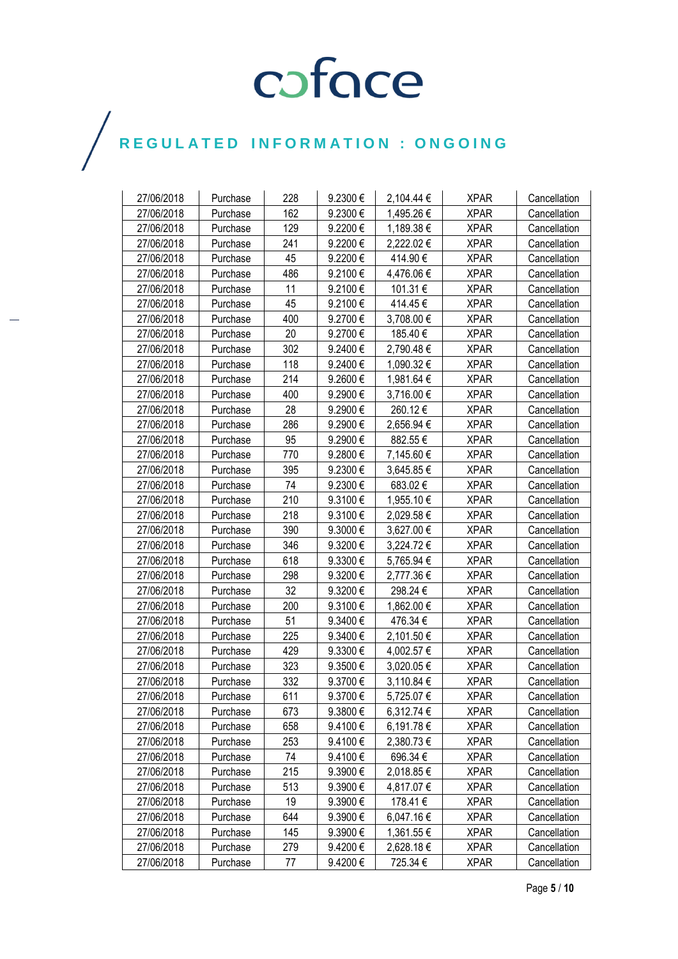| 27/06/2018 | Purchase | 228 | 9.2300€      | 2,104.44 € | <b>XPAR</b> | Cancellation |
|------------|----------|-----|--------------|------------|-------------|--------------|
| 27/06/2018 | Purchase | 162 | 9.2300€      | 1,495.26€  | <b>XPAR</b> | Cancellation |
| 27/06/2018 | Purchase | 129 | 9.2200€      | 1,189.38 € | <b>XPAR</b> | Cancellation |
| 27/06/2018 | Purchase | 241 | 9.2200€      | 2,222.02€  | <b>XPAR</b> | Cancellation |
| 27/06/2018 | Purchase | 45  | 9.2200€      | 414.90€    | <b>XPAR</b> | Cancellation |
| 27/06/2018 | Purchase | 486 | 9.2100€      | 4,476.06€  | <b>XPAR</b> | Cancellation |
| 27/06/2018 | Purchase | 11  | 9.2100€      | 101.31€    | <b>XPAR</b> | Cancellation |
| 27/06/2018 | Purchase | 45  | 9.2100€      | 414.45€    | <b>XPAR</b> | Cancellation |
| 27/06/2018 | Purchase | 400 | 9.2700€      | 3,708.00 € | <b>XPAR</b> | Cancellation |
| 27/06/2018 | Purchase | 20  | 9.2700€      | 185.40€    | <b>XPAR</b> | Cancellation |
| 27/06/2018 | Purchase | 302 | 9.2400€      | 2,790.48€  | <b>XPAR</b> | Cancellation |
| 27/06/2018 | Purchase | 118 | 9.2400€      | 1,090.32 € | <b>XPAR</b> | Cancellation |
| 27/06/2018 | Purchase | 214 | 9.2600€      | 1,981.64 € | <b>XPAR</b> | Cancellation |
| 27/06/2018 | Purchase | 400 | 9.2900€      | 3,716.00 € | <b>XPAR</b> | Cancellation |
| 27/06/2018 | Purchase | 28  | 9.2900€      | 260.12€    | <b>XPAR</b> | Cancellation |
| 27/06/2018 | Purchase | 286 | 9.2900€      | 2,656.94 € | <b>XPAR</b> | Cancellation |
| 27/06/2018 | Purchase | 95  | 9.2900€      | 882.55€    | <b>XPAR</b> | Cancellation |
| 27/06/2018 | Purchase | 770 | 9.2800€      | 7,145.60 € | <b>XPAR</b> | Cancellation |
| 27/06/2018 | Purchase | 395 | 9.2300€      | 3,645.85 € | <b>XPAR</b> | Cancellation |
| 27/06/2018 | Purchase | 74  | 9.2300 $\in$ | 683.02€    | <b>XPAR</b> | Cancellation |
| 27/06/2018 | Purchase | 210 | 9.3100€      | 1,955.10 € | <b>XPAR</b> | Cancellation |
| 27/06/2018 | Purchase | 218 | 9.3100€      | 2,029.58€  | <b>XPAR</b> | Cancellation |
| 27/06/2018 | Purchase | 390 | 9.3000€      | 3,627.00 € | <b>XPAR</b> | Cancellation |
| 27/06/2018 | Purchase | 346 | 9.3200€      | 3,224.72€  | <b>XPAR</b> | Cancellation |
| 27/06/2018 | Purchase | 618 | 9.3300€      | 5,765.94 € | <b>XPAR</b> | Cancellation |
| 27/06/2018 | Purchase | 298 | 9.3200€      | 2,777.36€  | <b>XPAR</b> | Cancellation |
| 27/06/2018 | Purchase | 32  | 9.3200€      | 298.24€    | <b>XPAR</b> | Cancellation |
| 27/06/2018 | Purchase | 200 | 9.3100€      | 1,862.00 € | <b>XPAR</b> | Cancellation |
| 27/06/2018 | Purchase | 51  | 9.3400€      | 476.34 €   | <b>XPAR</b> | Cancellation |
| 27/06/2018 | Purchase | 225 | 9.3400€      | 2,101.50 € | <b>XPAR</b> | Cancellation |
| 27/06/2018 | Purchase | 429 | 9.3300€      | 4,002.57 € | <b>XPAR</b> | Cancellation |
| 27/06/2018 | Purchase | 323 | 9.3500€      | 3,020.05 € | <b>XPAR</b> | Cancellation |
| 27/06/2018 | Purchase | 332 | 9.3700€      | 3,110.84 € | <b>XPAR</b> | Cancellation |
| 27/06/2018 | Purchase | 611 | 9.3700€      | 5,725.07€  | <b>XPAR</b> | Cancellation |
| 27/06/2018 | Purchase | 673 | 9.3800€      | 6,312.74 € | <b>XPAR</b> | Cancellation |
| 27/06/2018 | Purchase | 658 | 9.4100€      | 6,191.78€  | <b>XPAR</b> | Cancellation |
| 27/06/2018 | Purchase | 253 | 9.4100€      | 2,380.73€  | <b>XPAR</b> | Cancellation |
| 27/06/2018 | Purchase | 74  | 9.4100€      | 696.34 €   | <b>XPAR</b> | Cancellation |
| 27/06/2018 | Purchase | 215 | 9.3900€      | 2,018.85€  | <b>XPAR</b> | Cancellation |
| 27/06/2018 | Purchase | 513 | 9.3900€      | 4,817.07 € | <b>XPAR</b> | Cancellation |
| 27/06/2018 | Purchase | 19  | 9.3900€      | 178.41€    | <b>XPAR</b> | Cancellation |
| 27/06/2018 | Purchase | 644 | 9.3900€      | 6,047.16€  | <b>XPAR</b> | Cancellation |
| 27/06/2018 | Purchase | 145 | 9.3900€      | 1,361.55 € | <b>XPAR</b> | Cancellation |
| 27/06/2018 | Purchase | 279 | 9.4200€      | 2,628.18€  | <b>XPAR</b> | Cancellation |
| 27/06/2018 | Purchase | 77  | 9.4200€      | 725.34€    | <b>XPAR</b> | Cancellation |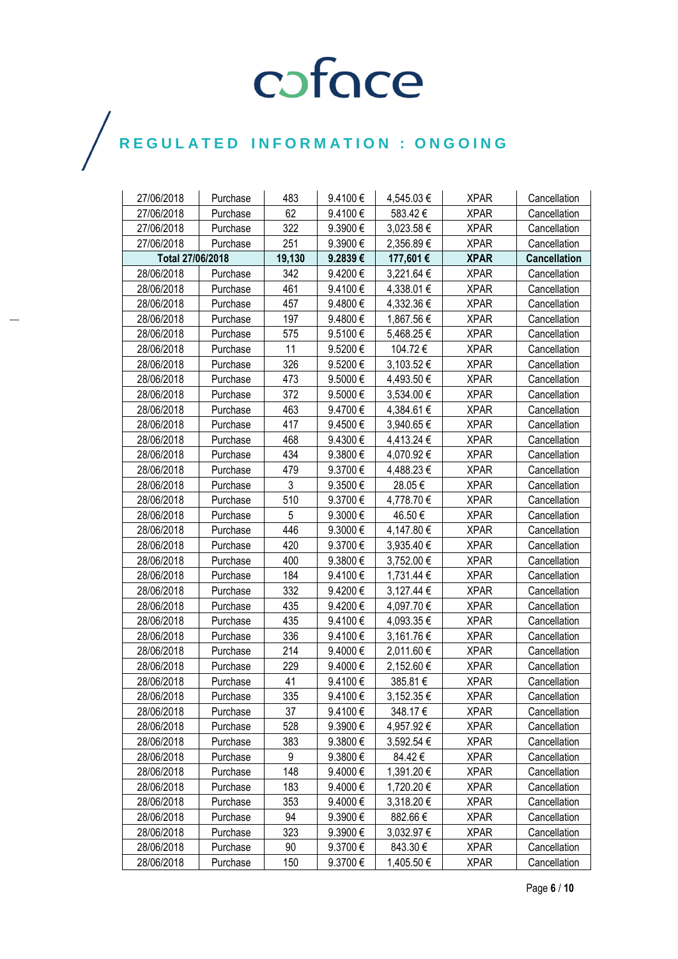| 27/06/2018       | Purchase | 483    | 9.4100€      | 4,545.03€  | <b>XPAR</b> | Cancellation        |
|------------------|----------|--------|--------------|------------|-------------|---------------------|
| 27/06/2018       | Purchase | 62     | 9.4100€      | 583.42€    | <b>XPAR</b> | Cancellation        |
| 27/06/2018       | Purchase | 322    | 9.3900€      | 3,023.58 € | <b>XPAR</b> | Cancellation        |
| 27/06/2018       | Purchase | 251    | 9.3900€      | 2,356.89€  | <b>XPAR</b> | Cancellation        |
| Total 27/06/2018 |          | 19,130 | 9.2839€      | 177,601 €  | <b>XPAR</b> | <b>Cancellation</b> |
| 28/06/2018       | Purchase | 342    | 9.4200€      | 3,221.64 € | <b>XPAR</b> | Cancellation        |
| 28/06/2018       | Purchase | 461    | 9.4100€      | 4,338.01 € | <b>XPAR</b> | Cancellation        |
| 28/06/2018       | Purchase | 457    | 9.4800€      | 4,332.36 € | <b>XPAR</b> | Cancellation        |
| 28/06/2018       | Purchase | 197    | 9.4800€      | 1,867.56€  | <b>XPAR</b> | Cancellation        |
| 28/06/2018       | Purchase | 575    | 9.5100€      | 5,468.25€  | <b>XPAR</b> | Cancellation        |
| 28/06/2018       | Purchase | 11     | 9.5200€      | 104.72€    | <b>XPAR</b> | Cancellation        |
| 28/06/2018       | Purchase | 326    | 9.5200€      | 3,103.52€  | <b>XPAR</b> | Cancellation        |
| 28/06/2018       | Purchase | 473    | 9.5000€      | 4,493.50 € | <b>XPAR</b> | Cancellation        |
| 28/06/2018       | Purchase | 372    | 9.5000€      | 3,534.00 € | <b>XPAR</b> | Cancellation        |
| 28/06/2018       | Purchase | 463    | 9.4700€      | 4,384.61 € | <b>XPAR</b> | Cancellation        |
| 28/06/2018       | Purchase | 417    | 9.4500€      | 3,940.65 € | <b>XPAR</b> | Cancellation        |
| 28/06/2018       | Purchase | 468    | 9.4300€      | 4,413.24 € | <b>XPAR</b> | Cancellation        |
| 28/06/2018       | Purchase | 434    | 9.3800€      | 4,070.92 € | <b>XPAR</b> | Cancellation        |
| 28/06/2018       | Purchase | 479    | 9.3700€      | 4,488.23€  | <b>XPAR</b> | Cancellation        |
| 28/06/2018       | Purchase | 3      | 9.3500€      | 28.05€     | <b>XPAR</b> | Cancellation        |
| 28/06/2018       | Purchase | 510    | 9.3700€      | 4,778.70 € | <b>XPAR</b> | Cancellation        |
| 28/06/2018       | Purchase | 5      | 9.3000€      | 46.50€     | <b>XPAR</b> | Cancellation        |
| 28/06/2018       | Purchase | 446    | 9.3000€      | 4,147.80 € | <b>XPAR</b> | Cancellation        |
| 28/06/2018       | Purchase | 420    | 9.3700€      | 3,935.40 € | <b>XPAR</b> | Cancellation        |
| 28/06/2018       | Purchase | 400    | 9.3800€      | 3,752.00 € | <b>XPAR</b> | Cancellation        |
| 28/06/2018       | Purchase | 184    | 9.4100€      | 1,731.44 € | <b>XPAR</b> | Cancellation        |
| 28/06/2018       | Purchase | 332    | 9.4200€      | 3,127.44 € | <b>XPAR</b> | Cancellation        |
| 28/06/2018       | Purchase | 435    | 9.4200€      | 4,097.70 € | <b>XPAR</b> | Cancellation        |
| 28/06/2018       | Purchase | 435    | 9.4100€      | 4,093.35 € | <b>XPAR</b> | Cancellation        |
| 28/06/2018       | Purchase | 336    | 9.4100€      | 3,161.76€  | <b>XPAR</b> | Cancellation        |
| 28/06/2018       | Purchase | 214    | 9.4000€      | 2,011.60 € | <b>XPAR</b> | Cancellation        |
| 28/06/2018       | Purchase | 229    | 9.4000€      | 2,152.60 € | <b>XPAR</b> | Cancellation        |
| 28/06/2018       | Purchase | 41     | 9.4100€      | 385.81€    | <b>XPAR</b> | Cancellation        |
| 28/06/2018       | Purchase | 335    | 9.4100€      | 3,152.35 € | <b>XPAR</b> | Cancellation        |
| 28/06/2018       | Purchase | 37     | $9.4100 \in$ | 348.17 €   | <b>XPAR</b> | Cancellation        |
| 28/06/2018       | Purchase | 528    | 9.3900€      | 4,957.92 € | <b>XPAR</b> | Cancellation        |
| 28/06/2018       | Purchase | 383    | $9.3800 \in$ | 3,592.54 € | <b>XPAR</b> | Cancellation        |
| 28/06/2018       | Purchase | 9      | 9.3800€      | 84.42€     | <b>XPAR</b> | Cancellation        |
| 28/06/2018       | Purchase | 148    | 9.4000€      | 1,391.20 € | <b>XPAR</b> | Cancellation        |
| 28/06/2018       | Purchase | 183    | 9.4000€      | 1,720.20 € | <b>XPAR</b> | Cancellation        |
| 28/06/2018       | Purchase | 353    | $9.4000 \in$ | 3,318.20 € | <b>XPAR</b> | Cancellation        |
| 28/06/2018       | Purchase | 94     | 9.3900€      | 882.66€    | <b>XPAR</b> | Cancellation        |
| 28/06/2018       | Purchase | 323    | 9.3900€      | 3,032.97 € | <b>XPAR</b> | Cancellation        |
| 28/06/2018       | Purchase | 90     | 9.3700€      | 843.30€    | <b>XPAR</b> | Cancellation        |
| 28/06/2018       | Purchase | 150    | 9.3700€      | 1,405.50 € | <b>XPAR</b> | Cancellation        |

 $\bigg)$ 

Page **6** / **10**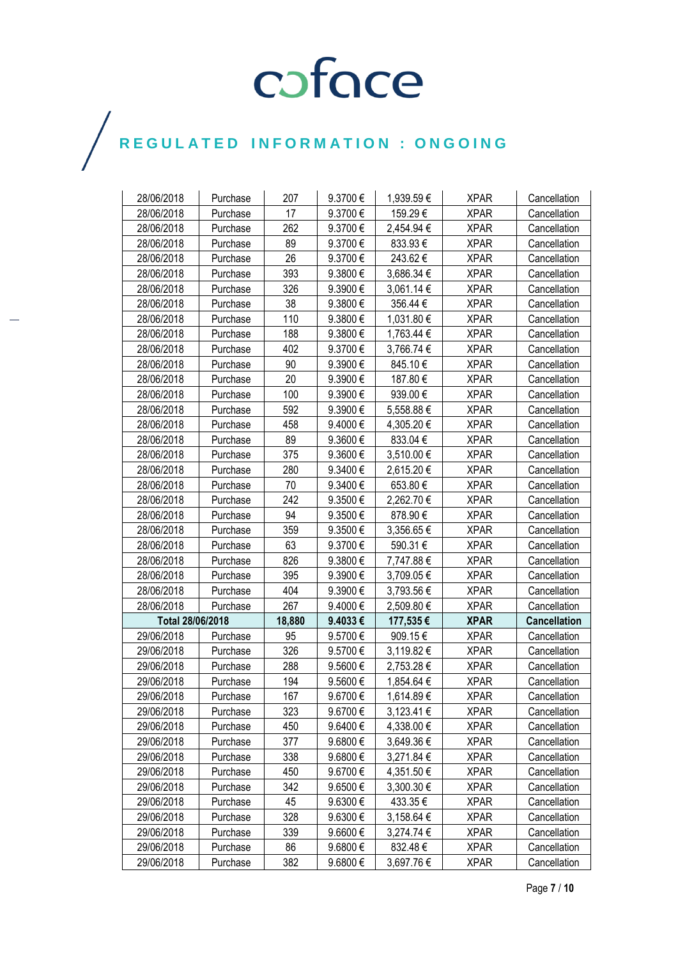| 28/06/2018       | Purchase | 207    | 9.3700€      | 1,939.59€      | <b>XPAR</b> | Cancellation        |
|------------------|----------|--------|--------------|----------------|-------------|---------------------|
| 28/06/2018       | Purchase | 17     | 9.3700€      | 159.29€        | <b>XPAR</b> | Cancellation        |
| 28/06/2018       | Purchase | 262    | 9.3700€      | 2,454.94 €     | <b>XPAR</b> | Cancellation        |
| 28/06/2018       | Purchase | 89     | 9.3700€      | 833.93€        | <b>XPAR</b> | Cancellation        |
| 28/06/2018       | Purchase | 26     | 9.3700€      | 243.62€        | <b>XPAR</b> | Cancellation        |
| 28/06/2018       | Purchase | 393    | 9.3800€      | 3,686.34 €     | <b>XPAR</b> | Cancellation        |
| 28/06/2018       | Purchase | 326    | 9.3900€      | 3,061.14 €     | <b>XPAR</b> | Cancellation        |
| 28/06/2018       | Purchase | 38     | 9.3800€      | 356.44€        | <b>XPAR</b> | Cancellation        |
| 28/06/2018       | Purchase | 110    | 9.3800€      | 1,031.80 €     | <b>XPAR</b> | Cancellation        |
| 28/06/2018       | Purchase | 188    | 9.3800€      | 1,763.44 €     | <b>XPAR</b> | Cancellation        |
| 28/06/2018       | Purchase | 402    | 9.3700€      | 3,766.74 €     | <b>XPAR</b> | Cancellation        |
| 28/06/2018       | Purchase | 90     | 9.3900€      | 845.10€        | <b>XPAR</b> | Cancellation        |
| 28/06/2018       | Purchase | 20     | 9.3900€      | 187.80€        | <b>XPAR</b> | Cancellation        |
| 28/06/2018       | Purchase | 100    | 9.3900€      | 939.00€        | <b>XPAR</b> | Cancellation        |
| 28/06/2018       | Purchase | 592    | 9.3900€      | 5,558.88€      | <b>XPAR</b> | Cancellation        |
| 28/06/2018       | Purchase | 458    | 9.4000€      | 4,305.20 €     | <b>XPAR</b> | Cancellation        |
| 28/06/2018       | Purchase | 89     | 9.3600€      | 833.04€        | <b>XPAR</b> | Cancellation        |
| 28/06/2018       | Purchase | 375    | 9.3600€      | 3,510.00 €     | <b>XPAR</b> | Cancellation        |
| 28/06/2018       | Purchase | 280    | 9.3400€      | 2,615.20 €     | <b>XPAR</b> | Cancellation        |
| 28/06/2018       | Purchase | 70     | 9.3400€      | 653.80€        | <b>XPAR</b> | Cancellation        |
| 28/06/2018       | Purchase | 242    | 9.3500€      | 2,262.70 €     | <b>XPAR</b> | Cancellation        |
| 28/06/2018       | Purchase | 94     | 9.3500€      | 878.90€        | <b>XPAR</b> | Cancellation        |
| 28/06/2018       | Purchase | 359    | 9.3500€      | 3,356.65 €     | <b>XPAR</b> | Cancellation        |
| 28/06/2018       | Purchase | 63     | 9.3700€      | 590.31€        | <b>XPAR</b> | Cancellation        |
| 28/06/2018       | Purchase | 826    | 9.3800€      | 7,747.88 €     | <b>XPAR</b> | Cancellation        |
| 28/06/2018       | Purchase | 395    | 9.3900€      | 3,709.05€      | <b>XPAR</b> | Cancellation        |
| 28/06/2018       | Purchase | 404    | 9.3900€      | 3,793.56€      | <b>XPAR</b> | Cancellation        |
| 28/06/2018       | Purchase | 267    | 9.4000€      | 2,509.80 €     | <b>XPAR</b> | Cancellation        |
| Total 28/06/2018 |          | 18,880 | 9.4033€      | 177,535€       | <b>XPAR</b> | <b>Cancellation</b> |
| 29/06/2018       | Purchase | 95     | 9.5700€      | 909.15€        | <b>XPAR</b> | Cancellation        |
| 29/06/2018       | Purchase | 326    | 9.5700€      | 3,119.82 €     | <b>XPAR</b> | Cancellation        |
| 29/06/2018       | Purchase | 288    | 9.5600€      | 2,753.28€      | <b>XPAR</b> | Cancellation        |
| 29/06/2018       | Purchase | 194    | 9.5600€      | 1,854.64 €     | <b>XPAR</b> | Cancellation        |
| 29/06/2018       | Purchase | 167    | 9.6700€      | 1,614.89€      | <b>XPAR</b> | Cancellation        |
| 29/06/2018       | Purchase | 323    | 9.6700€      | $3,123.41 \in$ | <b>XPAR</b> | Cancellation        |
| 29/06/2018       | Purchase | 450    | 9.6400€      | 4,338.00 €     | <b>XPAR</b> | Cancellation        |
| 29/06/2018       | Purchase | 377    | $9.6800 \in$ | 3,649.36 €     | <b>XPAR</b> | Cancellation        |
| 29/06/2018       | Purchase | 338    | 9.6800€      | 3,271.84 €     | <b>XPAR</b> | Cancellation        |
| 29/06/2018       | Purchase | 450    | 9.6700€      | 4,351.50 €     | <b>XPAR</b> | Cancellation        |
| 29/06/2018       | Purchase | 342    | 9.6500€      | $3,300.30 \in$ | <b>XPAR</b> | Cancellation        |
| 29/06/2018       | Purchase | 45     | 9.6300 €     | 433.35€        | <b>XPAR</b> | Cancellation        |
| 29/06/2018       | Purchase | 328    | 9.6300€      | $3,158.64 \in$ | <b>XPAR</b> | Cancellation        |
| 29/06/2018       | Purchase | 339    | 9.6600€      | 3,274.74 €     | <b>XPAR</b> | Cancellation        |
| 29/06/2018       | Purchase | 86     | 9.6800€      | 832.48€        | <b>XPAR</b> | Cancellation        |
| 29/06/2018       | Purchase | 382    | 9.6800€      | 3,697.76 €     | <b>XPAR</b> | Cancellation        |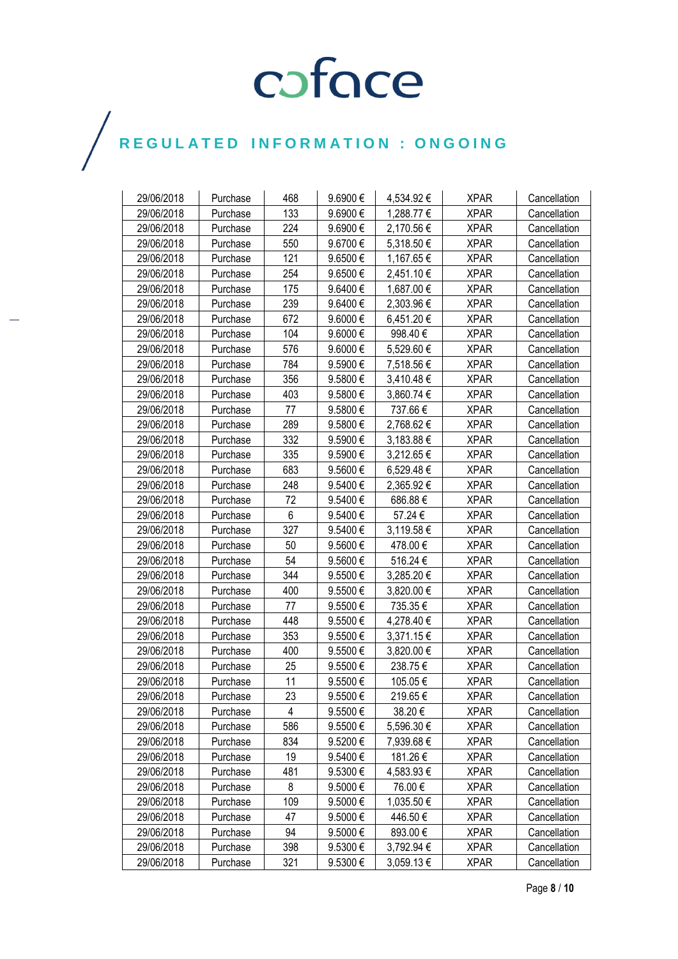| 29/06/2018 | Purchase | 468 | 9.6900€      | 4,534.92€  | <b>XPAR</b> | Cancellation |
|------------|----------|-----|--------------|------------|-------------|--------------|
| 29/06/2018 | Purchase | 133 | 9.6900€      | 1,288.77 € | <b>XPAR</b> | Cancellation |
| 29/06/2018 | Purchase | 224 | 9.6900€      | 2,170.56 € | <b>XPAR</b> | Cancellation |
| 29/06/2018 | Purchase | 550 | 9.6700€      | 5,318.50€  | <b>XPAR</b> | Cancellation |
| 29/06/2018 | Purchase | 121 | 9.6500€      | 1,167.65 € | <b>XPAR</b> | Cancellation |
| 29/06/2018 | Purchase | 254 | 9.6500€      | 2,451.10 € | <b>XPAR</b> | Cancellation |
| 29/06/2018 | Purchase | 175 | 9.6400€      | 1,687.00 € | <b>XPAR</b> | Cancellation |
| 29/06/2018 | Purchase | 239 | 9.6400€      | 2,303.96 € | <b>XPAR</b> | Cancellation |
| 29/06/2018 | Purchase | 672 | $9.6000 \in$ | 6,451.20€  | <b>XPAR</b> | Cancellation |
| 29/06/2018 | Purchase | 104 | 9.6000€      | 998.40€    | <b>XPAR</b> | Cancellation |
| 29/06/2018 | Purchase | 576 | 9.6000€      | 5,529.60 € | <b>XPAR</b> | Cancellation |
| 29/06/2018 | Purchase | 784 | 9.5900€      | 7,518.56€  | <b>XPAR</b> | Cancellation |
| 29/06/2018 | Purchase | 356 | 9.5800€      | 3,410.48€  | <b>XPAR</b> | Cancellation |
| 29/06/2018 | Purchase | 403 | 9.5800€      | 3,860.74 € | <b>XPAR</b> | Cancellation |
| 29/06/2018 | Purchase | 77  | 9.5800€      | 737.66€    | <b>XPAR</b> | Cancellation |
| 29/06/2018 | Purchase | 289 | 9.5800 €     | 2,768.62€  | <b>XPAR</b> | Cancellation |
| 29/06/2018 | Purchase | 332 | 9.5900€      | 3,183.88 € | <b>XPAR</b> | Cancellation |
| 29/06/2018 | Purchase | 335 | 9.5900€      | 3,212.65 € | <b>XPAR</b> | Cancellation |
| 29/06/2018 | Purchase | 683 | 9.5600€      | 6,529.48€  | <b>XPAR</b> | Cancellation |
| 29/06/2018 | Purchase | 248 | 9.5400€      | 2,365.92 € | <b>XPAR</b> | Cancellation |
| 29/06/2018 | Purchase | 72  | 9.5400€      | 686.88€    | <b>XPAR</b> | Cancellation |
| 29/06/2018 | Purchase | 6   | 9.5400€      | 57.24 €    | <b>XPAR</b> | Cancellation |
| 29/06/2018 | Purchase | 327 | 9.5400€      | 3,119.58€  | <b>XPAR</b> | Cancellation |
| 29/06/2018 | Purchase | 50  | 9.5600€      | 478.00€    | <b>XPAR</b> | Cancellation |
| 29/06/2018 | Purchase | 54  | 9.5600€      | 516.24€    | <b>XPAR</b> | Cancellation |
| 29/06/2018 | Purchase | 344 | 9.5500€      | 3,285.20 € | <b>XPAR</b> | Cancellation |
| 29/06/2018 | Purchase | 400 | 9.5500€      | 3,820.00 € | <b>XPAR</b> | Cancellation |
| 29/06/2018 | Purchase | 77  | 9.5500€      | 735.35€    | <b>XPAR</b> | Cancellation |
| 29/06/2018 | Purchase | 448 | 9.5500€      | 4,278.40 € | <b>XPAR</b> | Cancellation |
| 29/06/2018 | Purchase | 353 | 9.5500€      | 3,371.15€  | <b>XPAR</b> | Cancellation |
| 29/06/2018 | Purchase | 400 | 9.5500€      | 3,820.00 € | <b>XPAR</b> | Cancellation |
| 29/06/2018 | Purchase | 25  | 9.5500€      | 238.75€    | <b>XPAR</b> | Cancellation |
| 29/06/2018 | Purchase | 11  | 9.5500€      | 105.05€    | <b>XPAR</b> | Cancellation |
| 29/06/2018 | Purchase | 23  | 9.5500€      | 219.65€    | <b>XPAR</b> | Cancellation |
| 29/06/2018 | Purchase | 4   | 9.5500€      | 38.20€     | <b>XPAR</b> | Cancellation |
| 29/06/2018 | Purchase | 586 | 9.5500€      | 5,596.30 € | <b>XPAR</b> | Cancellation |
| 29/06/2018 | Purchase | 834 | 9.5200€      | 7,939.68€  | <b>XPAR</b> | Cancellation |
| 29/06/2018 | Purchase | 19  | 9.5400€      | 181.26€    | <b>XPAR</b> | Cancellation |
| 29/06/2018 | Purchase | 481 | 9.5300€      | 4,583.93 € | <b>XPAR</b> | Cancellation |
| 29/06/2018 | Purchase | 8   | 9.5000€      | 76.00€     | <b>XPAR</b> | Cancellation |
| 29/06/2018 | Purchase | 109 | 9.5000€      | 1,035.50 € | <b>XPAR</b> | Cancellation |
| 29/06/2018 | Purchase | 47  | 9.5000€      | 446.50€    | <b>XPAR</b> | Cancellation |
| 29/06/2018 | Purchase | 94  | 9.5000€      | 893.00€    | <b>XPAR</b> | Cancellation |
| 29/06/2018 | Purchase | 398 | 9.5300 €     | 3,792.94 € | <b>XPAR</b> | Cancellation |
| 29/06/2018 | Purchase | 321 | 9.5300€      | 3,059.13€  | <b>XPAR</b> | Cancellation |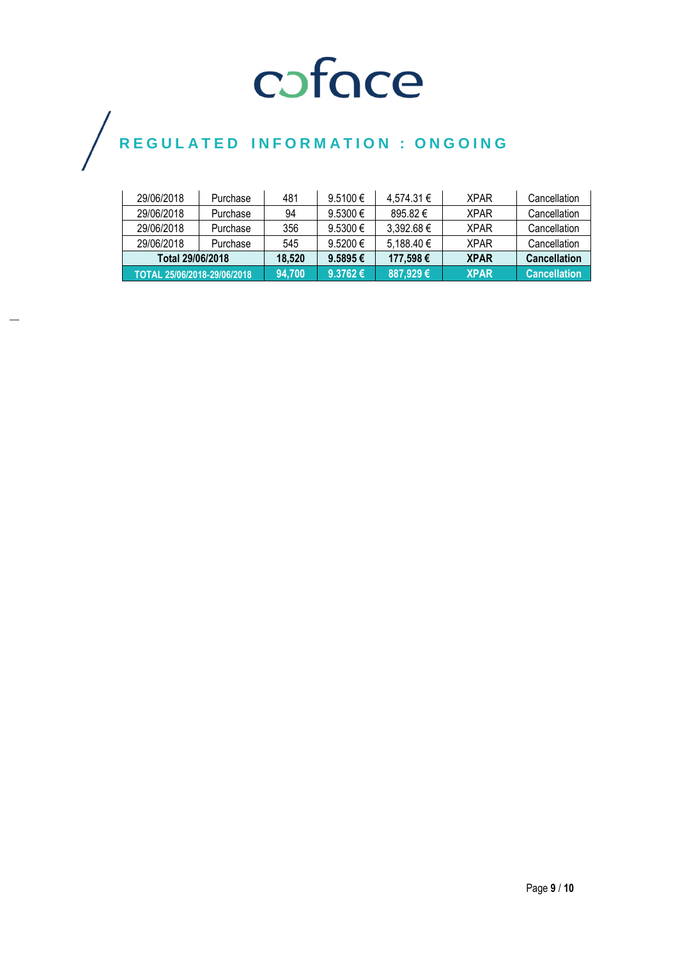| 29/06/2018                  | Purchase | 481    | $9.5100 \in$      | 4,574.31 €   | <b>XPAR</b> | Cancellation        |
|-----------------------------|----------|--------|-------------------|--------------|-------------|---------------------|
| 29/06/2018                  | Purchase | 94     | $9.5300 \in$      | $895.82 \in$ | <b>XPAR</b> | Cancellation        |
| 29/06/2018                  | Purchase | 356    | 9.5300 €          | 3.392.68 €   | <b>XPAR</b> | Cancellation        |
| 29/06/2018                  | Purchase | 545    | $9.5200 \in$      | 5.188.40 €   | <b>XPAR</b> | Cancellation        |
| Total 29/06/2018            |          | 18.520 | $9.5895 \in$      | 177.598€     | <b>XPAR</b> | <b>Cancellation</b> |
| TOTAL 25/06/2018-29/06/2018 |          | 94.700 | 9.3762 $\epsilon$ | 887,929€     | <b>XPAR</b> | <b>Cancellation</b> |